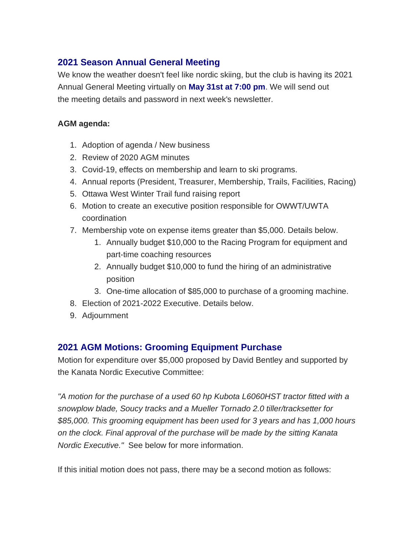# **2021 Season Annual General Meeting**

We know the weather doesn't feel like nordic skiing, but the club is having its 2021 Annual General Meeting virtually on **May 31st at 7:00 pm**. We will send out the meeting details and password in next week's newsletter.

#### **AGM agenda:**

- 1. Adoption of agenda / New business
- 2. Review of 2020 AGM minutes
- 3. Covid-19, effects on membership and learn to ski programs.
- 4. Annual reports (President, Treasurer, Membership, Trails, Facilities, Racing)
- 5. Ottawa West Winter Trail fund raising report
- 6. Motion to create an executive position responsible for OWWT/UWTA coordination
- 7. Membership vote on expense items greater than \$5,000. Details below.
	- 1. Annually budget \$10,000 to the Racing Program for equipment and part-time coaching resources
	- 2. Annually budget \$10,000 to fund the hiring of an administrative position
	- 3. One-time allocation of \$85,000 to purchase of a grooming machine.
- 8. Election of 2021-2022 Executive. Details below.
- 9. Adjournment

## **2021 AGM Motions: Grooming Equipment Purchase**

Motion for expenditure over \$5,000 proposed by David Bentley and supported by the Kanata Nordic Executive Committee:

*"A motion for the purchase of a used 60 hp Kubota L6060HST tractor fitted with a snowplow blade, Soucy tracks and a Mueller Tornado 2.0 tiller/tracksetter for \$85,000. This grooming equipment has been used for 3 years and has 1,000 hours on the clock. Final approval of the purchase will be made by the sitting Kanata Nordic Executive."* See below for more information.

If this initial motion does not pass, there may be a second motion as follows: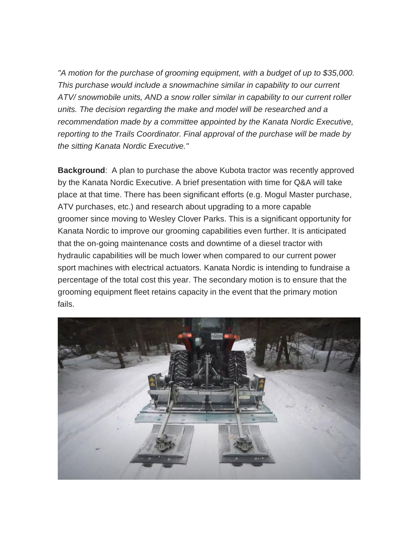*"A motion for the purchase of grooming equipment, with a budget of up to \$35,000. This purchase would include a snowmachine similar in capability to our current ATV/ snowmobile units, AND a snow roller similar in capability to our current roller units. The decision regarding the make and model will be researched and a recommendation made by a committee appointed by the Kanata Nordic Executive, reporting to the Trails Coordinator. Final approval of the purchase will be made by the sitting Kanata Nordic Executive."*

**Background**: A plan to purchase the above Kubota tractor was recently approved by the Kanata Nordic Executive. A brief presentation with time for Q&A will take place at that time. There has been significant efforts (e.g. Mogul Master purchase, ATV purchases, etc.) and research about upgrading to a more capable groomer since moving to Wesley Clover Parks. This is a significant opportunity for Kanata Nordic to improve our grooming capabilities even further. It is anticipated that the on-going maintenance costs and downtime of a diesel tractor with hydraulic capabilities will be much lower when compared to our current power sport machines with electrical actuators. Kanata Nordic is intending to fundraise a percentage of the total cost this year. The secondary motion is to ensure that the grooming equipment fleet retains capacity in the event that the primary motion fails.

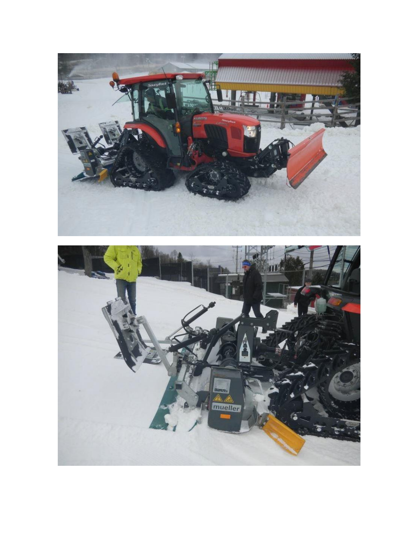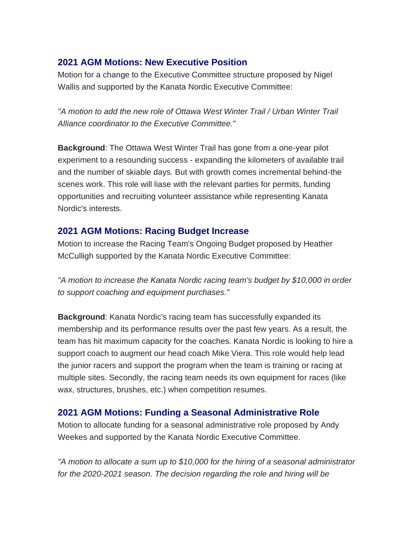## **2021 AGM Motions: New Executive Position**

Motion for a change to the Executive Committee structure proposed by Nigel Wallis and supported by the Kanata Nordic Executive Committee:

*"A motion to add the new role of Ottawa West Winter Trail / Urban Winter Trail Alliance coordinator to the Executive Committee."*

**Background**: The Ottawa West Winter Trail has gone from a one-year pilot experiment to a resounding success - expanding the kilometers of available trail and the number of skiable days. But with growth comes incremental behind-the scenes work. This role will liase with the relevant parties for permits, funding opportunities and recruiting volunteer assistance while representing Kanata Nordic's interests.

## **2021 AGM Motions: Racing Budget Increase**

Motion to increase the Racing Team's Ongoing Budget proposed by Heather McCulligh supported by the Kanata Nordic Executive Committee:

*"A motion to increase the Kanata Nordic racing team's budget by \$10,000 in order to support coaching and equipment purchases."*

**Background**: Kanata Nordic's racing team has successfully expanded its membership and its performance results over the past few years. As a result, the team has hit maximum capacity for the coaches. Kanata Nordic is looking to hire a support coach to augment our head coach Mike Viera. This role would help lead the junior racers and support the program when the team is training or racing at multiple sites. Secondly, the racing team needs its own equipment for races (like wax, structures, brushes, etc.) when competition resumes.

## **2021 AGM Motions: Funding a Seasonal Administrative Role**

Motion to allocate funding for a seasonal administrative role proposed by Andy Weekes and supported by the Kanata Nordic Executive Committee.

*"A motion to allocate a sum up to \$10,000 for the hiring of a seasonal administrator for the 2020-2021 season. The decision regarding the role and hiring will be*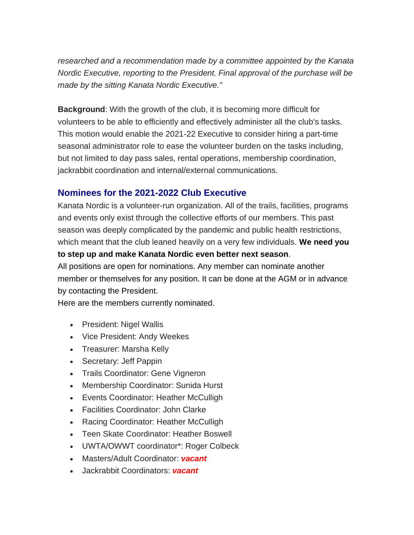*researched and a recommendation made by a committee appointed by the Kanata Nordic Executive, reporting to the President. Final approval of the purchase will be made by the sitting Kanata Nordic Executive."*

**Background**: With the growth of the club, it is becoming more difficult for volunteers to be able to efficiently and effectively administer all the club's tasks. This motion would enable the 2021-22 Executive to consider hiring a part-time seasonal administrator role to ease the volunteer burden on the tasks including, but not limited to day pass sales, rental operations, membership coordination, jackrabbit coordination and internal/external communications.

#### **Nominees for the 2021-2022 Club Executive**

Kanata Nordic is a volunteer-run organization. All of the trails, facilities, programs and events only exist through the collective efforts of our members. This past season was deeply complicated by the pandemic and public health restrictions, which meant that the club leaned heavily on a very few individuals. **We need you** 

#### **to step up and make Kanata Nordic even better next season**.

All positions are open for nominations. Any member can nominate another member or themselves for any position. It can be done at the AGM or in advance by contacting the President.

Here are the members currently nominated.

- President: Nigel Wallis
- Vice President: Andy Weekes
- Treasurer: Marsha Kelly
- Secretary: Jeff Pappin
- Trails Coordinator: Gene Vigneron
- Membership Coordinator: Sunida Hurst
- Events Coordinator: Heather McCulligh
- Facilities Coordinator: John Clarke
- Racing Coordinator: Heather McCulligh
- Teen Skate Coordinator: Heather Boswell
- UWTA/OWWT coordinator\*: Roger Colbeck
- Masters/Adult Coordinator: *vacant*
- Jackrabbit Coordinators: *vacant*